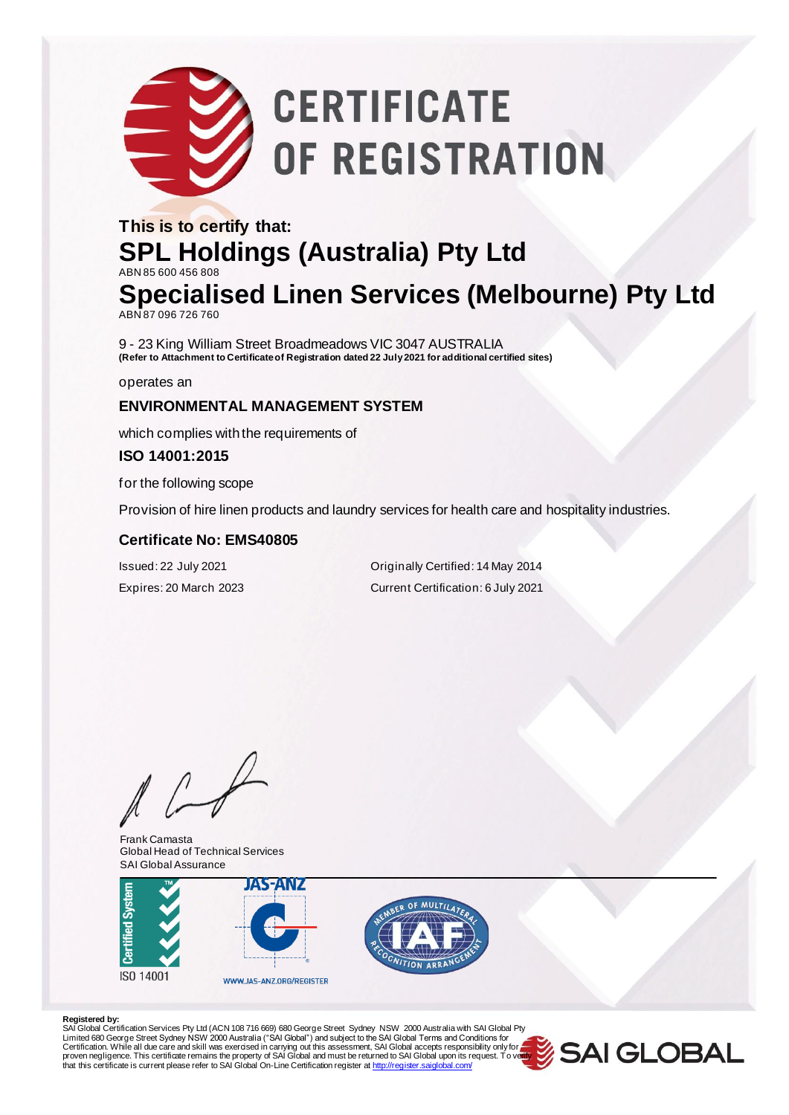# **CERTIFICATE** OF REGISTRATION

### **This is to certify that: SPL Holdings (Australia) Pty Ltd** ABN 85 600 456 808 **Specialised Linen Services (Melbourne) Pty Ltd**

ABN 87 096 726 760

9 - 23 King William Street Broadmeadows VIC 3047 AUSTRALIA **(Refer to Attachment to Certificate of Registration dated 22 July 2021 for additional certified sites)**

operates an

#### **ENVIRONMENTAL MANAGEMENT SYSTEM**

which complies with the requirements of

**ISO 14001:2015**

for the following scope

Provision of hire linen products and laundry services for health care and hospitality industries.

#### **Certificate No: EMS40805**

Issued: 22 July 2021 Originally Certified: 14 May 2014 Expires: 20 March 2023 Current Certification: 6 July 2021

 $\sqrt{ }$ 

Frank Camasta Global Head of Technical Services SAI Global Assurance





#### **Registered by:**

SAl Global Certification Services Pty Ltd (ACN 108 716 669) 680 George Street Sydney NSW 2000 Australia with SAI Global Pty<br>Limited 680 George Street Sydney NSW 2000 Australia ("SAI Global") and subject to the SAI Global T Certification. While all due care and skill was exercised in carrying out this assessment, SAI Global accepts responsibility only for a second of the process of the process of process of process of process of process of pr that this certificate is current please refer to SAI Global On-Line Certification register [at http://register.saiglobal.com/](http://register.saiglobal.com/)

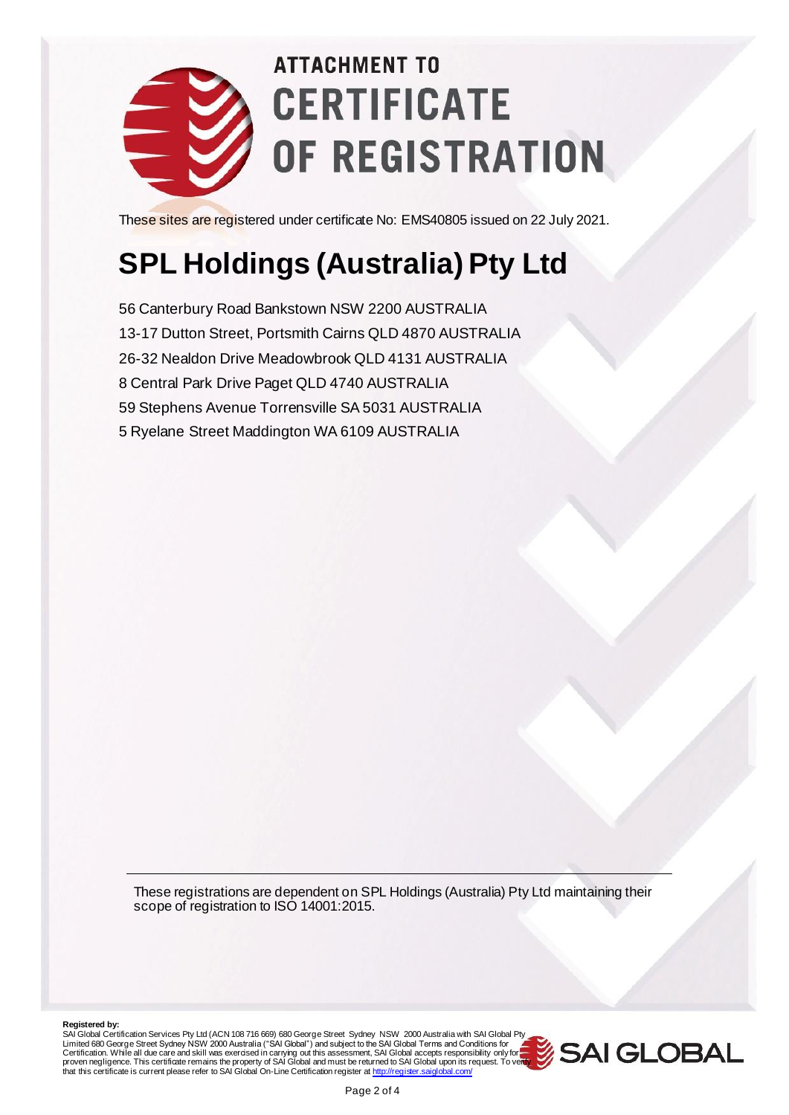

# **ATTACHMENT TO CERTIFICATE** OF REGISTRATION

These sites are registered under certificate No: EMS40805 issued on 22 July 2021.

### **SPL Holdings (Australia) Pty Ltd**

56 Canterbury Road Bankstown NSW 2200 AUSTRALIA 13-17 Dutton Street, Portsmith Cairns QLD 4870 AUSTRALIA 26-32 Nealdon Drive Meadowbrook QLD 4131 AUSTRALIA 8 Central Park Drive Paget QLD 4740 AUSTRALIA 59 Stephens Avenue Torrensville SA 5031 AUSTRALIA 5 Ryelane Street Maddington WA 6109 AUSTRALIA

These registrations are dependent on SPL Holdings (Australia) Pty Ltd maintaining their scope of registration to ISO 14001:2015.

**Registered by:**<br>SAI Global Certification Services Pty Ltd (ACN 108 716 669) 680 George Street Sydney NSW 2000 Australia with SAI Global Pty Limited 680 George Street Sydney NSW 2000 Australia ("SAI Global") and subject to the SAI Global Terms and Conditions for<br>Certification. While all due care and skill was exercised in carrying out this assessment, SAI Globa proven negligence. This certificate remains the property of SAI Global and must be returned to SAI Global upon its request. To veilly<br>that this certificate is current please refer to SAI Global On-Line Certification regist

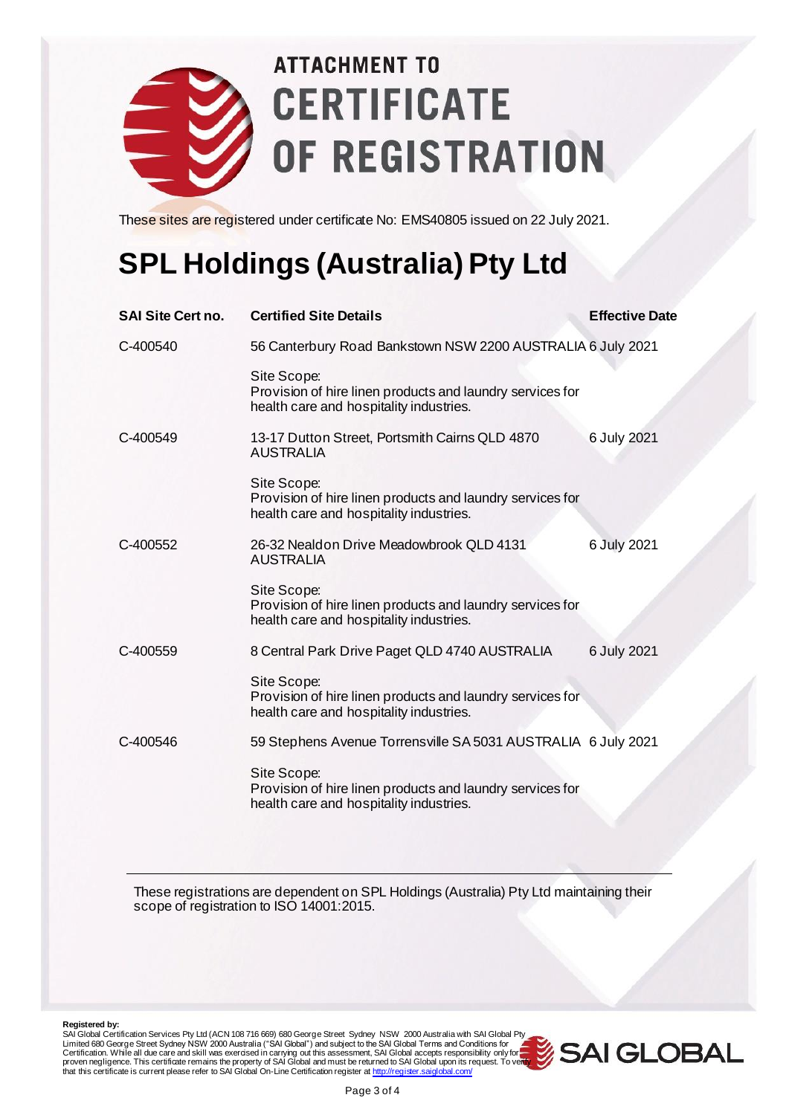

# **ATTACHMENT TO CERTIFICATE** OF REGISTRATION

These sites are registered under certificate No: EMS40805 issued on 22 July 2021.

### **SPL Holdings (Australia) Pty Ltd**

| <b>SAI Site Cert no.</b> | <b>Certified Site Details</b>                                                                                       | <b>Effective Date</b> |  |
|--------------------------|---------------------------------------------------------------------------------------------------------------------|-----------------------|--|
| C-400540                 | 56 Canterbury Road Bankstown NSW 2200 AUSTRALIA 6 July 2021                                                         |                       |  |
|                          | Site Scope:<br>Provision of hire linen products and laundry services for<br>health care and hospitality industries. |                       |  |
| C-400549                 | 13-17 Dutton Street, Portsmith Cairns QLD 4870<br><b>AUSTRALIA</b>                                                  | 6 July 2021           |  |
|                          | Site Scope:<br>Provision of hire linen products and laundry services for<br>health care and hospitality industries. |                       |  |
| C-400552                 | 26-32 Nealdon Drive Meadowbrook QLD 4131<br><b>AUSTRALIA</b>                                                        | 6 July 2021           |  |
|                          | Site Scope:<br>Provision of hire linen products and laundry services for<br>health care and hospitality industries. |                       |  |
| C-400559                 | 8 Central Park Drive Paget QLD 4740 AUSTRALIA                                                                       | 6 July 2021           |  |
|                          | Site Scope:<br>Provision of hire linen products and laundry services for<br>health care and hospitality industries. |                       |  |
| C-400546                 | 59 Stephens Avenue Torrensville SA 5031 AUSTRALIA 6 July 2021                                                       |                       |  |
|                          | Site Scope:<br>Provision of hire linen products and laundry services for<br>health care and hospitality industries. |                       |  |

These registrations are dependent on SPL Holdings (Australia) Pty Ltd maintaining their scope of registration to ISO 14001:2015.

**Registered by:**<br>SAI Global Certification Services Pty Ltd (ACN 108 716 669) 680 George Street Sydney NSW 2000 Australia with SAI Global Pty Limited 680 George Street Sydney NSW 2000 Australia ("SAI Global") and subject to the SAI Global Terms and Conditions for<br>Certification. While all due care and skill was exercised in carrying out this assessment, SAI Globa proven negligence. This certificate remains the property of SAI Global and must be returned to SAI Global upon its request. To veilly<br>that this certificate is current please refer to SAI Global On-Line Certification regist